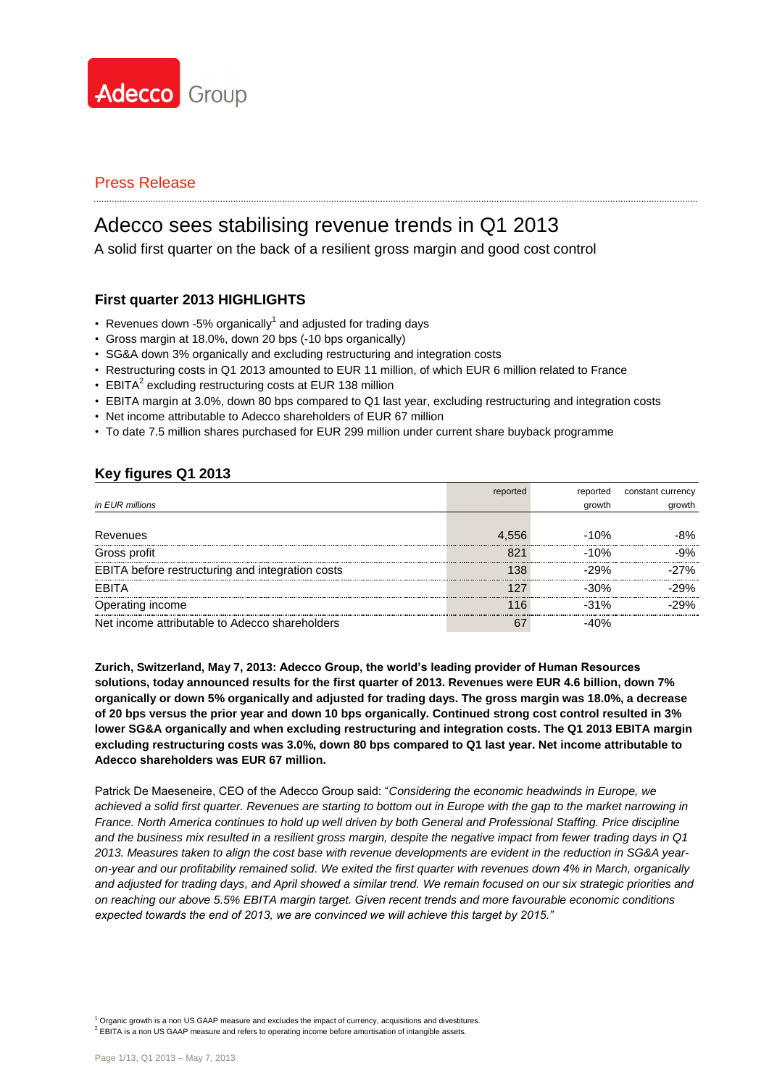

# Adecco sees stabilising revenue trends in Q1 2013

A solid first quarter on the back of a resilient gross margin and good cost control

### **First quarter 2013 HIGHLIGHTS**

- Revenues down -5% organically<sup>1</sup> and adjusted for trading days
- Gross margin at 18.0%, down 20 bps (-10 bps organically)
- SG&A down 3% organically and excluding restructuring and integration costs
- Restructuring costs in Q1 2013 amounted to EUR 11 million, of which EUR 6 million related to France
- EBITA<sup>2</sup> excluding restructuring costs at EUR 138 million
- EBITA margin at 3.0%, down 80 bps compared to Q1 last year, excluding restructuring and integration costs
- Net income attributable to Adecco shareholders of EUR 67 million
- To date 7.5 million shares purchased for EUR 299 million under current share buyback programme

### **Key figures Q1 2013**

|                                                  | reported | reported | constant currency |
|--------------------------------------------------|----------|----------|-------------------|
| in EUR millions                                  |          | growth   | growth            |
|                                                  |          |          |                   |
| Revenues                                         | 4.556    | $-10%$   | 8%                |
| Gross profit                                     | 821      | $-10%$   | .9%               |
| EBITA before restructuring and integration costs |          | -29%     | 7%                |
| FRITA                                            |          | -30%     | -29%              |
| Operating income                                 |          | -31%     | .29%              |
| Net income attributable to Adecco shareholders   | 67       |          |                   |

**Zurich, Switzerland, May 7, 2013: Adecco Group, the world's leading provider of Human Resources solutions, today announced results for the first quarter of 2013. Revenues were EUR 4.6 billion, down 7% organically or down 5% organically and adjusted for trading days. The gross margin was 18.0%, a decrease of 20 bps versus the prior year and down 10 bps organically. Continued strong cost control resulted in 3% lower SG&A organically and when excluding restructuring and integration costs. The Q1 2013 EBITA margin excluding restructuring costs was 3.0%, down 80 bps compared to Q1 last year. Net income attributable to Adecco shareholders was EUR 67 million.**

Patrick De Maeseneire, CEO of the Adecco Group said: "*Considering the economic headwinds in Europe, we achieved a solid first quarter. Revenues are starting to bottom out in Europe with the gap to the market narrowing in France. North America continues to hold up well driven by both General and Professional Staffing. Price discipline and the business mix resulted in a resilient gross margin, despite the negative impact from fewer trading days in Q1 2013. Measures taken to align the cost base with revenue developments are evident in the reduction in SG&A yearon-year and our profitability remained solid. We exited the first quarter with revenues down 4% in March, organically and adjusted for trading days, and April showed a similar trend. We remain focused on our six strategic priorities and on reaching our above 5.5% EBITA margin target. Given recent trends and more favourable economic conditions expected towards the end of 2013, we are convinced we will achieve this target by 2015."*

 $1$  Organic growth is a non US GAAP measure and excludes the impact of currency, acquisitions and divestitures.

 $2$  EBITA is a non US GAAP measure and refers to operating income before amortisation of intangible assets.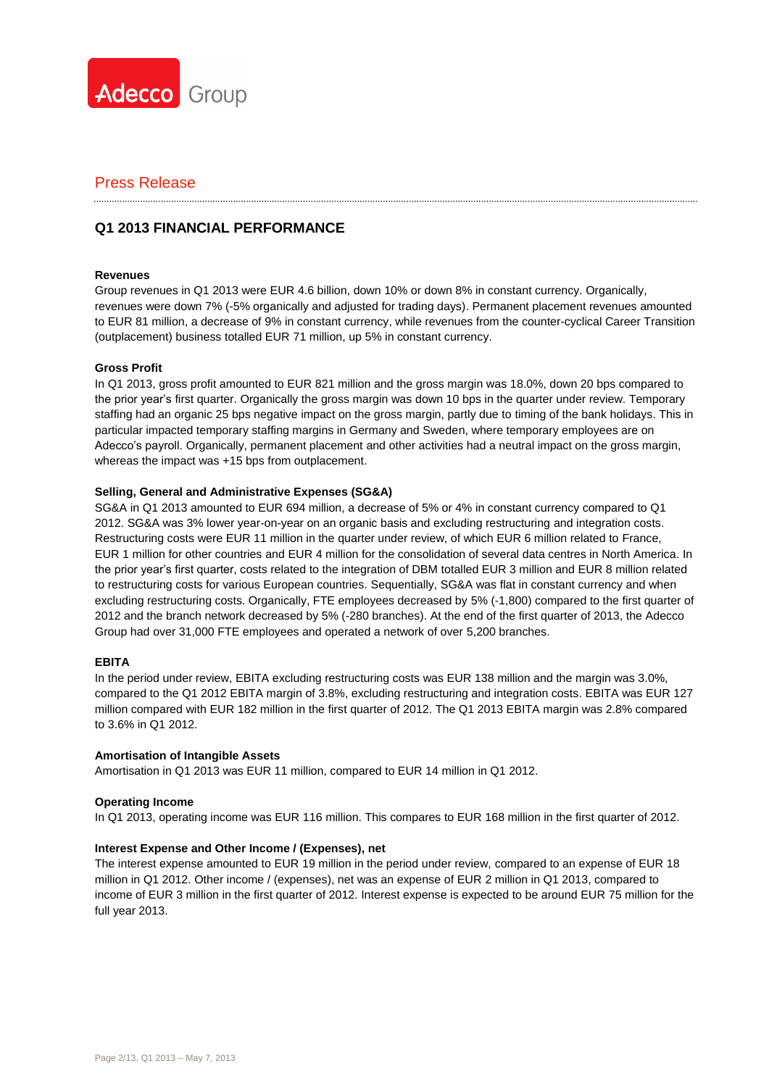

### **Q1 2013 FINANCIAL PERFORMANCE**

### **Revenues**

Group revenues in Q1 2013 were EUR 4.6 billion, down 10% or down 8% in constant currency. Organically, revenues were down 7% (-5% organically and adjusted for trading days). Permanent placement revenues amounted to EUR 81 million, a decrease of 9% in constant currency, while revenues from the counter-cyclical Career Transition (outplacement) business totalled EUR 71 million, up 5% in constant currency.

### **Gross Profit**

In Q1 2013, gross profit amounted to EUR 821 million and the gross margin was 18.0%, down 20 bps compared to the prior year's first quarter. Organically the gross margin was down 10 bps in the quarter under review. Temporary staffing had an organic 25 bps negative impact on the gross margin, partly due to timing of the bank holidays. This in particular impacted temporary staffing margins in Germany and Sweden, where temporary employees are on Adecco's payroll. Organically, permanent placement and other activities had a neutral impact on the gross margin, whereas the impact was +15 bps from outplacement.

### **Selling, General and Administrative Expenses (SG&A)**

SG&A in Q1 2013 amounted to EUR 694 million, a decrease of 5% or 4% in constant currency compared to Q1 2012. SG&A was 3% lower year-on-year on an organic basis and excluding restructuring and integration costs. Restructuring costs were EUR 11 million in the quarter under review, of which EUR 6 million related to France, EUR 1 million for other countries and EUR 4 million for the consolidation of several data centres in North America. In the prior year's first quarter, costs related to the integration of DBM totalled EUR 3 million and EUR 8 million related to restructuring costs for various European countries. Sequentially, SG&A was flat in constant currency and when excluding restructuring costs. Organically, FTE employees decreased by 5% (-1,800) compared to the first quarter of 2012 and the branch network decreased by 5% (-280 branches). At the end of the first quarter of 2013, the Adecco Group had over 31,000 FTE employees and operated a network of over 5,200 branches.

#### **EBITA**

In the period under review, EBITA excluding restructuring costs was EUR 138 million and the margin was 3.0%, compared to the Q1 2012 EBITA margin of 3.8%, excluding restructuring and integration costs. EBITA was EUR 127 million compared with EUR 182 million in the first quarter of 2012. The Q1 2013 EBITA margin was 2.8% compared to 3.6% in Q1 2012.

#### **Amortisation of Intangible Assets**

Amortisation in Q1 2013 was EUR 11 million, compared to EUR 14 million in Q1 2012.

### **Operating Income**

In Q1 2013, operating income was EUR 116 million. This compares to EUR 168 million in the first quarter of 2012.

### **Interest Expense and Other Income / (Expenses), net**

The interest expense amounted to EUR 19 million in the period under review, compared to an expense of EUR 18 million in Q1 2012. Other income / (expenses), net was an expense of EUR 2 million in Q1 2013, compared to income of EUR 3 million in the first quarter of 2012. Interest expense is expected to be around EUR 75 million for the full year 2013.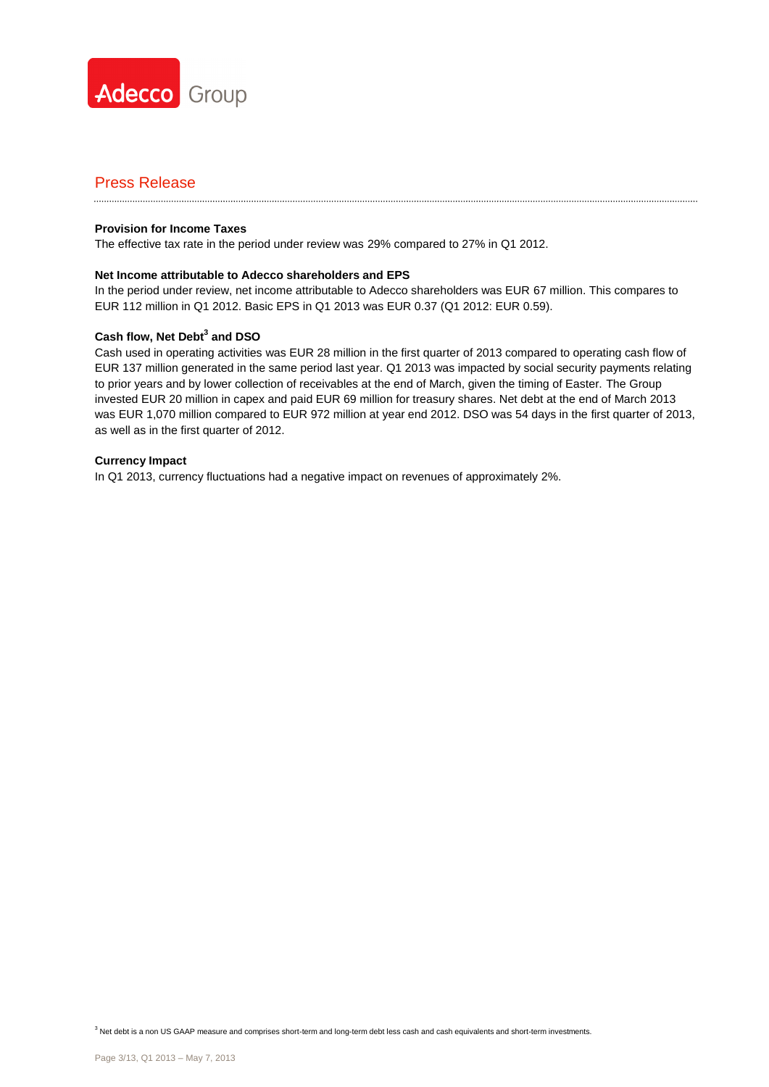

#### **Provision for Income Taxes**

The effective tax rate in the period under review was 29% compared to 27% in Q1 2012.

### **Net Income attributable to Adecco shareholders and EPS**

In the period under review, net income attributable to Adecco shareholders was EUR 67 million. This compares to EUR 112 million in Q1 2012. Basic EPS in Q1 2013 was EUR 0.37 (Q1 2012: EUR 0.59).

### **Cash flow, Net Debt<sup>3</sup> and DSO**

Cash used in operating activities was EUR 28 million in the first quarter of 2013 compared to operating cash flow of EUR 137 million generated in the same period last year. Q1 2013 was impacted by social security payments relating to prior years and by lower collection of receivables at the end of March, given the timing of Easter. The Group invested EUR 20 million in capex and paid EUR 69 million for treasury shares. Net debt at the end of March 2013 was EUR 1,070 million compared to EUR 972 million at year end 2012. DSO was 54 days in the first quarter of 2013, as well as in the first quarter of 2012.

### **Currency Impact**

In Q1 2013, currency fluctuations had a negative impact on revenues of approximately 2%.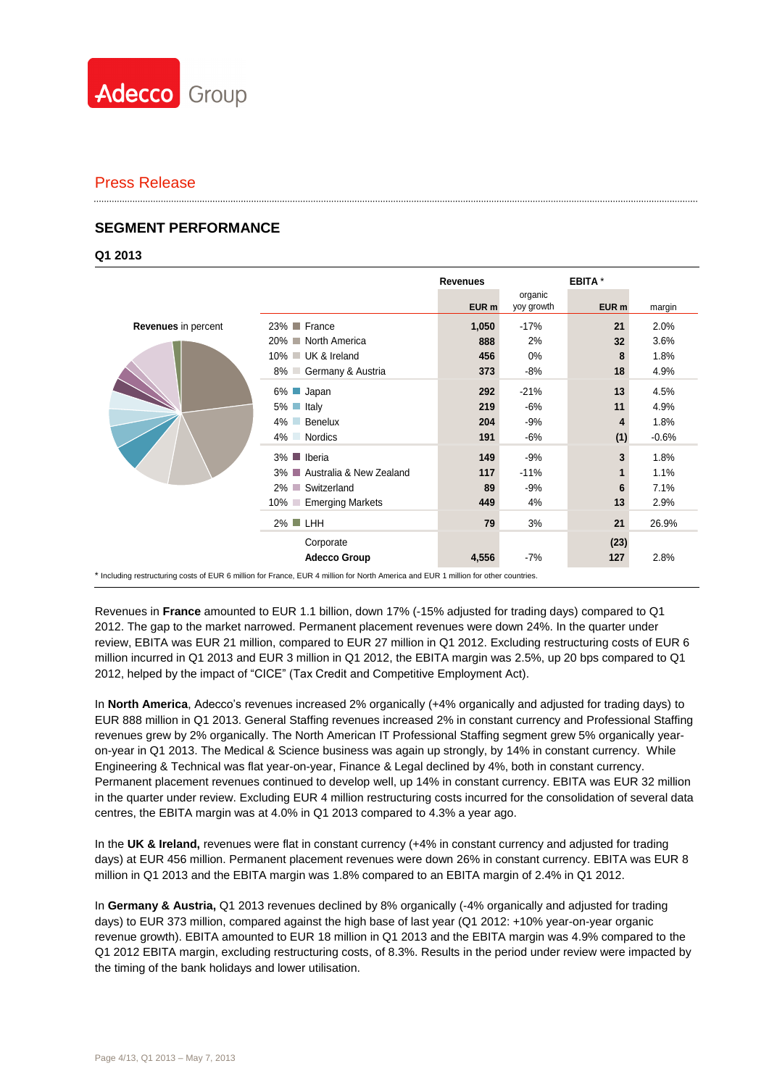

### **SEGMENT PERFORMANCE**

**Q1 2013**

|                                                                                                                                     |                                          | <b>Revenues</b>  |                       | EBITA *          |         |
|-------------------------------------------------------------------------------------------------------------------------------------|------------------------------------------|------------------|-----------------------|------------------|---------|
|                                                                                                                                     |                                          | EUR <sub>m</sub> | organic<br>yoy growth | EUR <sub>m</sub> | margin  |
| Revenues in percent                                                                                                                 | 23% France                               | 1,050            | $-17%$                | 21               | 2.0%    |
|                                                                                                                                     | 20% ■ North America                      | 888              | 2%                    | 32               | 3.6%    |
|                                                                                                                                     | 10% UK & Ireland                         | 456              | 0%                    | 8                | 1.8%    |
|                                                                                                                                     | 8% Germany & Austria                     | 373              | -8%                   | 18               | 4.9%    |
|                                                                                                                                     | 6% <b>Japan</b>                          | 292              | $-21%$                | 13               | 4.5%    |
|                                                                                                                                     | $5\%$ Italy                              | 219              | $-6%$                 | 11               | 4.9%    |
|                                                                                                                                     | Benelux<br>4%                            | 204              | -9%                   | 4                | 1.8%    |
|                                                                                                                                     | 4% Nordics                               | 191              | -6%                   | (1)              | $-0.6%$ |
|                                                                                                                                     | 3% <b>■</b> Iberia                       | 149              | $-9%$                 | 3                | 1.8%    |
|                                                                                                                                     | 3% ■ Australia & New Zealand             | 117              | $-11%$                |                  | 1.1%    |
|                                                                                                                                     | 2% Switzerland                           | 89               | $-9%$                 | 6                | 7.1%    |
|                                                                                                                                     | <b>Emerging Markets</b><br>$10\%$ $\Box$ | 449              | 4%                    | 13               | 2.9%    |
|                                                                                                                                     | $2\%$ LHH                                | 79               | 3%                    | 21               | 26.9%   |
|                                                                                                                                     | Corporate<br><b>Adecco Group</b>         | 4,556            | -7%                   | (23)<br>127      | 2.8%    |
| * Including restructuring costs of EUR 6 million for France, EUR 4 million for North America and EUR 1 million for other countries. |                                          |                  |                       |                  |         |

Revenues in **France** amounted to EUR 1.1 billion, down 17% (-15% adjusted for trading days) compared to Q1 2012. The gap to the market narrowed. Permanent placement revenues were down 24%. In the quarter under review, EBITA was EUR 21 million, compared to EUR 27 million in Q1 2012. Excluding restructuring costs of EUR 6 million incurred in Q1 2013 and EUR 3 million in Q1 2012, the EBITA margin was 2.5%, up 20 bps compared to Q1 2012, helped by the impact of "CICE" (Tax Credit and Competitive Employment Act).

In **North America**, Adecco's revenues increased 2% organically (+4% organically and adjusted for trading days) to EUR 888 million in Q1 2013. General Staffing revenues increased 2% in constant currency and Professional Staffing revenues grew by 2% organically. The North American IT Professional Staffing segment grew 5% organically yearon-year in Q1 2013. The Medical & Science business was again up strongly, by 14% in constant currency. While Engineering & Technical was flat year-on-year, Finance & Legal declined by 4%, both in constant currency. Permanent placement revenues continued to develop well, up 14% in constant currency. EBITA was EUR 32 million in the quarter under review. Excluding EUR 4 million restructuring costs incurred for the consolidation of several data centres, the EBITA margin was at 4.0% in Q1 2013 compared to 4.3% a year ago.

In the **UK & Ireland,** revenues were flat in constant currency (+4% in constant currency and adjusted for trading days) at EUR 456 million. Permanent placement revenues were down 26% in constant currency. EBITA was EUR 8 million in Q1 2013 and the EBITA margin was 1.8% compared to an EBITA margin of 2.4% in Q1 2012.

In **Germany & Austria,** Q1 2013 revenues declined by 8% organically (-4% organically and adjusted for trading days) to EUR 373 million, compared against the high base of last year (Q1 2012: +10% year-on-year organic revenue growth). EBITA amounted to EUR 18 million in Q1 2013 and the EBITA margin was 4.9% compared to the Q1 2012 EBITA margin, excluding restructuring costs, of 8.3%. Results in the period under review were impacted by the timing of the bank holidays and lower utilisation.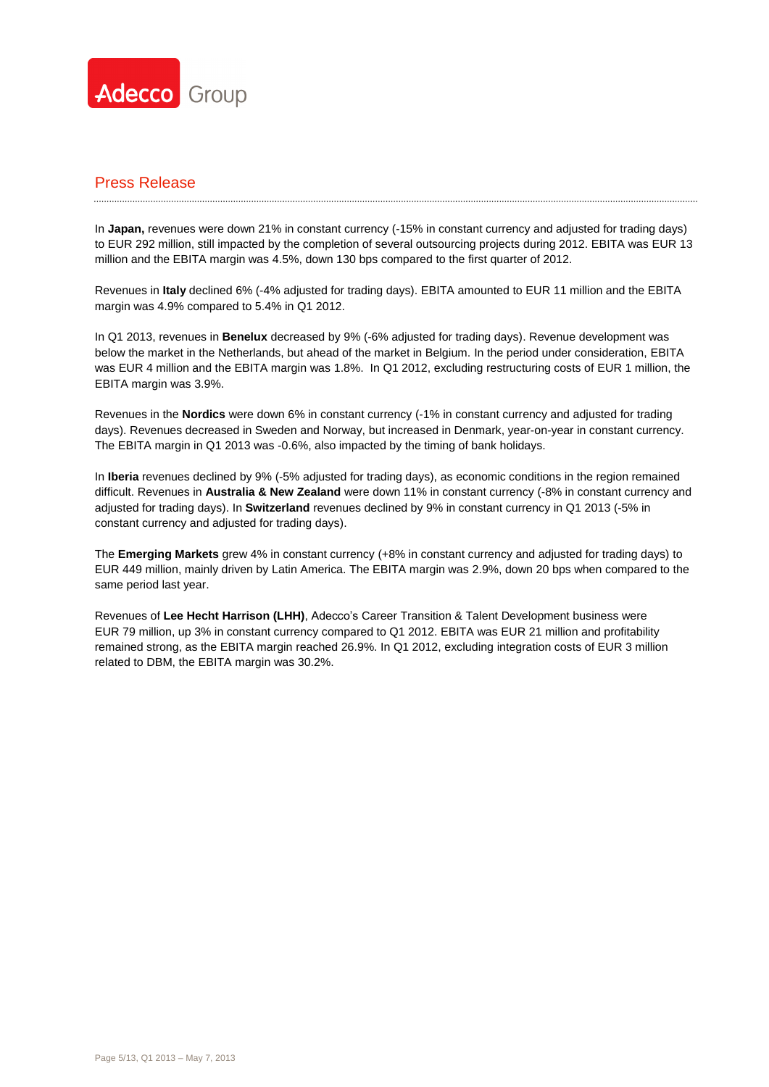

In **Japan,** revenues were down 21% in constant currency (-15% in constant currency and adjusted for trading days) to EUR 292 million, still impacted by the completion of several outsourcing projects during 2012. EBITA was EUR 13 million and the EBITA margin was 4.5%, down 130 bps compared to the first quarter of 2012.

Revenues in **Italy** declined 6% (-4% adjusted for trading days). EBITA amounted to EUR 11 million and the EBITA margin was 4.9% compared to 5.4% in Q1 2012.

In Q1 2013, revenues in **Benelux** decreased by 9% (-6% adjusted for trading days). Revenue development was below the market in the Netherlands, but ahead of the market in Belgium. In the period under consideration, EBITA was EUR 4 million and the EBITA margin was 1.8%. In Q1 2012, excluding restructuring costs of EUR 1 million, the EBITA margin was 3.9%.

Revenues in the **Nordics** were down 6% in constant currency (-1% in constant currency and adjusted for trading days). Revenues decreased in Sweden and Norway, but increased in Denmark, year-on-year in constant currency. The EBITA margin in Q1 2013 was -0.6%, also impacted by the timing of bank holidays.

In **Iberia** revenues declined by 9% (-5% adjusted for trading days), as economic conditions in the region remained difficult. Revenues in **Australia & New Zealand** were down 11% in constant currency (-8% in constant currency and adjusted for trading days). In **Switzerland** revenues declined by 9% in constant currency in Q1 2013 (-5% in constant currency and adjusted for trading days).

The **Emerging Markets** grew 4% in constant currency (+8% in constant currency and adjusted for trading days) to EUR 449 million, mainly driven by Latin America. The EBITA margin was 2.9%, down 20 bps when compared to the same period last year.

Revenues of **Lee Hecht Harrison (LHH)**, Adecco's Career Transition & Talent Development business were EUR 79 million, up 3% in constant currency compared to Q1 2012. EBITA was EUR 21 million and profitability remained strong, as the EBITA margin reached 26.9%. In Q1 2012, excluding integration costs of EUR 3 million related to DBM, the EBITA margin was 30.2%.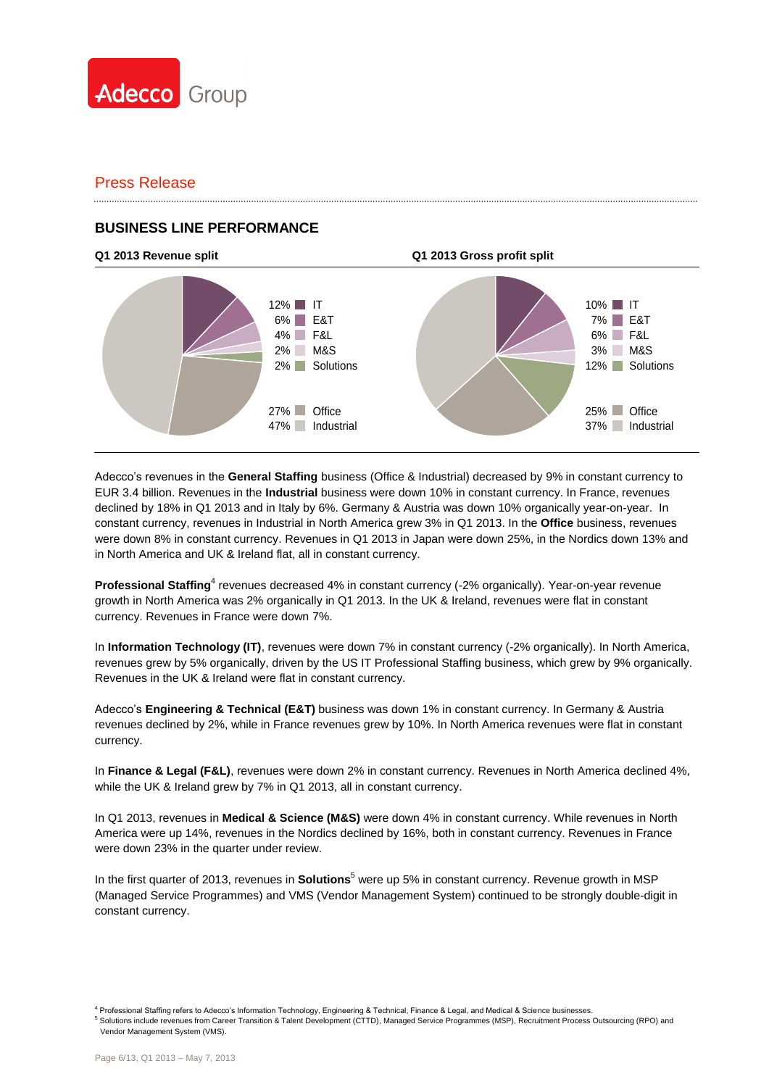

### **BUSINESS LINE PERFORMANCE**



Adecco's revenues in the **General Staffing** business (Office & Industrial) decreased by 9% in constant currency to EUR 3.4 billion. Revenues in the **Industrial** business were down 10% in constant currency. In France, revenues declined by 18% in Q1 2013 and in Italy by 6%. Germany & Austria was down 10% organically year-on-year. In constant currency, revenues in Industrial in North America grew 3% in Q1 2013. In the **Office** business, revenues were down 8% in constant currency. Revenues in Q1 2013 in Japan were down 25%, in the Nordics down 13% and in North America and UK & Ireland flat, all in constant currency.

Professional Staffing<sup>4</sup> revenues decreased 4% in constant currency (-2% organically). Year-on-year revenue growth in North America was 2% organically in Q1 2013. In the UK & Ireland, revenues were flat in constant currency. Revenues in France were down 7%.

In **Information Technology (IT)**, revenues were down 7% in constant currency (-2% organically). In North America, revenues grew by 5% organically, driven by the US IT Professional Staffing business, which grew by 9% organically. Revenues in the UK & Ireland were flat in constant currency.

Adecco's **Engineering & Technical (E&T)** business was down 1% in constant currency. In Germany & Austria revenues declined by 2%, while in France revenues grew by 10%. In North America revenues were flat in constant currency.

In **Finance & Legal (F&L)**, revenues were down 2% in constant currency. Revenues in North America declined 4%, while the UK & Ireland grew by 7% in Q1 2013, all in constant currency.

In Q1 2013, revenues in **Medical & Science (M&S)** were down 4% in constant currency. While revenues in North America were up 14%, revenues in the Nordics declined by 16%, both in constant currency. Revenues in France were down 23% in the quarter under review.

In the first quarter of 2013, revenues in **Solutions**<sup>5</sup> were up 5% in constant currency. Revenue growth in MSP (Managed Service Programmes) and VMS (Vendor Management System) continued to be strongly double-digit in constant currency.

<sup>5</sup> Solutions include revenues from Career Transition & Talent Development (CTTD), Managed Service Programmes (MSP), Recruitment Process Outsourcing (RPO) and Vendor Management System (VMS).

<sup>4</sup> Professional Staffing refers to Adecco's Information Technology, Engineering & Technical, Finance & Legal, and Medical & Science businesses.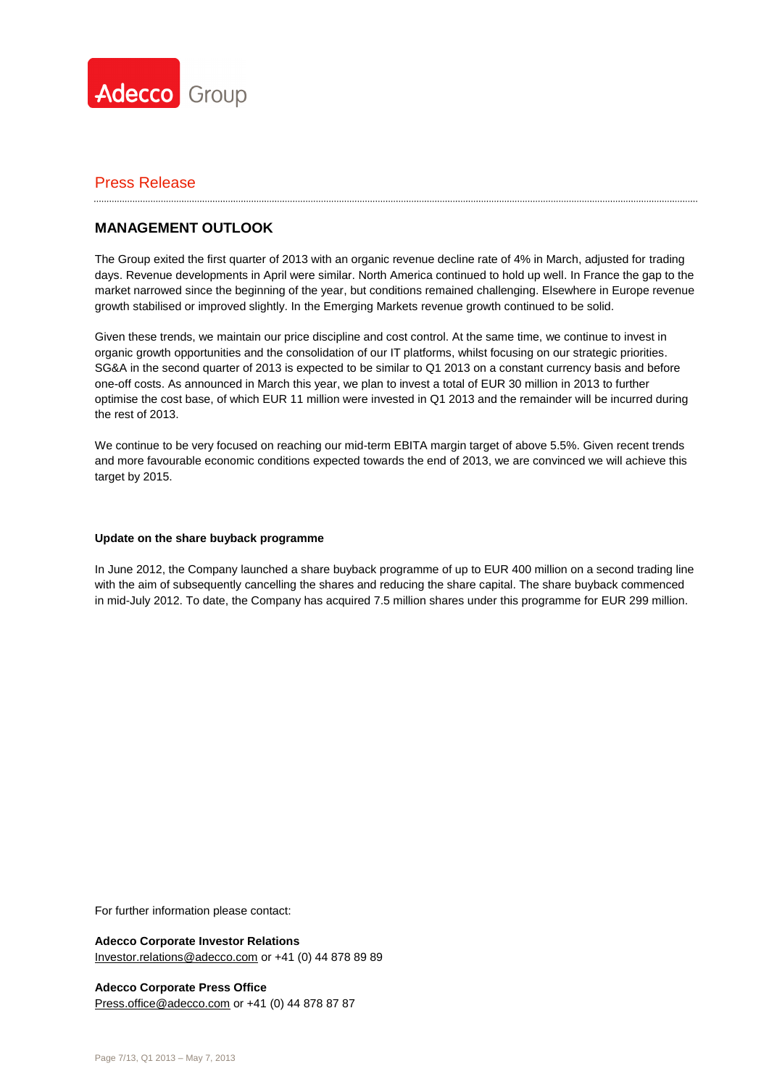

### **MANAGEMENT OUTLOOK**

The Group exited the first quarter of 2013 with an organic revenue decline rate of 4% in March, adjusted for trading days. Revenue developments in April were similar. North America continued to hold up well. In France the gap to the market narrowed since the beginning of the year, but conditions remained challenging. Elsewhere in Europe revenue growth stabilised or improved slightly. In the Emerging Markets revenue growth continued to be solid.

Given these trends, we maintain our price discipline and cost control. At the same time, we continue to invest in organic growth opportunities and the consolidation of our IT platforms, whilst focusing on our strategic priorities. SG&A in the second quarter of 2013 is expected to be similar to Q1 2013 on a constant currency basis and before one-off costs. As announced in March this year, we plan to invest a total of EUR 30 million in 2013 to further optimise the cost base, of which EUR 11 million were invested in Q1 2013 and the remainder will be incurred during the rest of 2013.

We continue to be very focused on reaching our mid-term EBITA margin target of above 5.5%. Given recent trends and more favourable economic conditions expected towards the end of 2013, we are convinced we will achieve this target by 2015.

### **Update on the share buyback programme**

In June 2012, the Company launched a share buyback programme of up to EUR 400 million on a second trading line with the aim of subsequently cancelling the shares and reducing the share capital. The share buyback commenced in mid-July 2012. To date, the Company has acquired 7.5 million shares under this programme for EUR 299 million.

For further information please contact:

**Adecco Corporate Investor Relations** [Investor.relations@adecco.com](mailto:Investor.relations@adecco.com) or +41 (0) 44 878 89 89

**Adecco Corporate Press Office** [Press.office@adecco.com](mailto:Press.office@adecco.com) or +41 (0) 44 878 87 87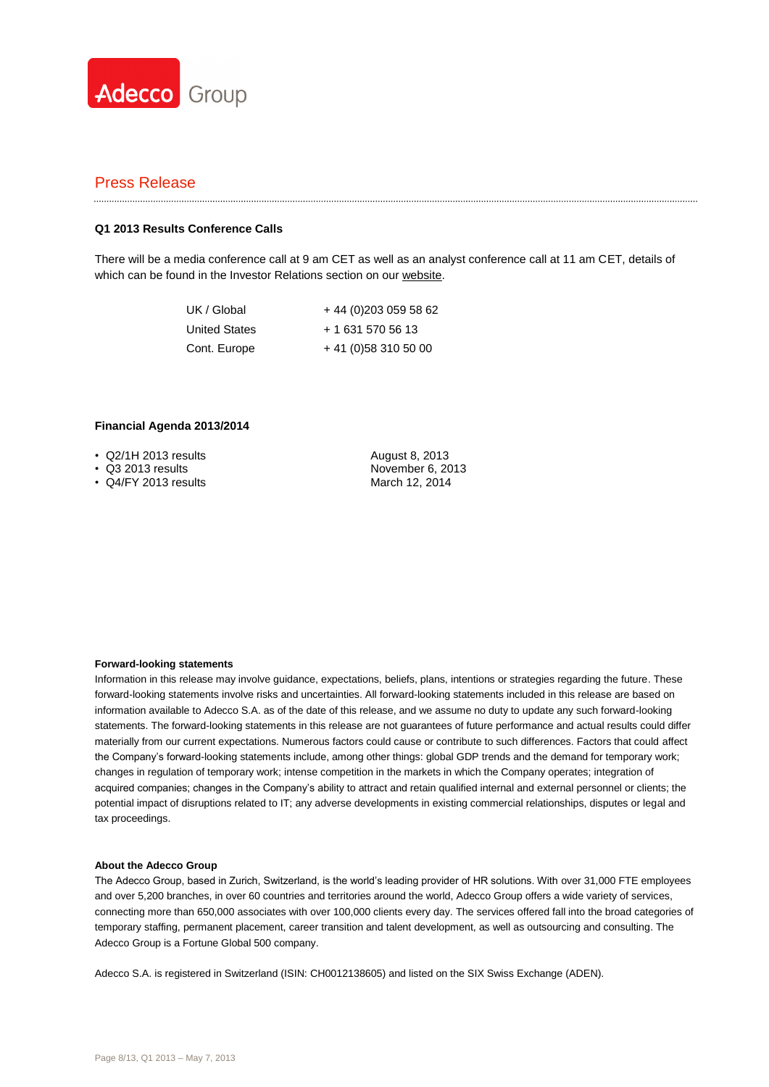

#### **Q1 2013 Results Conference Calls**

There will be a media conference call at 9 am CET as well as an analyst conference call at 11 am CET, details of which can be found in the Investor Relations section on ou[r website.](http://www.adecco.com/en-US/investors/Pages/Financials.aspx)

| UK / Global          | +44 (0) 203 059 58 62 |
|----------------------|-----------------------|
| <b>United States</b> | + 1 631 570 56 13     |
| Cont. Europe         | $+41(0)583105000$     |

#### **Financial Agenda 2013/2014**

- Q2/1H 2013 results
- Q3 2013 results
- Q4/FY 2013 results

August 8, 2013 November 6, 2013 March 12, 2014

#### **Forward-looking statements**

Information in this release may involve guidance, expectations, beliefs, plans, intentions or strategies regarding the future. These forward-looking statements involve risks and uncertainties. All forward-looking statements included in this release are based on information available to Adecco S.A. as of the date of this release, and we assume no duty to update any such forward-looking statements. The forward-looking statements in this release are not guarantees of future performance and actual results could differ materially from our current expectations. Numerous factors could cause or contribute to such differences. Factors that could affect the Company's forward-looking statements include, among other things: global GDP trends and the demand for temporary work; changes in regulation of temporary work; intense competition in the markets in which the Company operates; integration of acquired companies; changes in the Company's ability to attract and retain qualified internal and external personnel or clients; the potential impact of disruptions related to IT; any adverse developments in existing commercial relationships, disputes or legal and tax proceedings.

#### **About the Adecco Group**

The Adecco Group, based in Zurich, Switzerland, is the world's leading provider of HR solutions. With over 31,000 FTE employees and over 5,200 branches, in over 60 countries and territories around the world, Adecco Group offers a wide variety of services, connecting more than 650,000 associates with over 100,000 clients every day. The services offered fall into the broad categories of temporary staffing, permanent placement, career transition and talent development, as well as outsourcing and consulting. The Adecco Group is a Fortune Global 500 company.

Adecco S.A. is registered in Switzerland (ISIN: CH0012138605) and listed on the SIX Swiss Exchange (ADEN).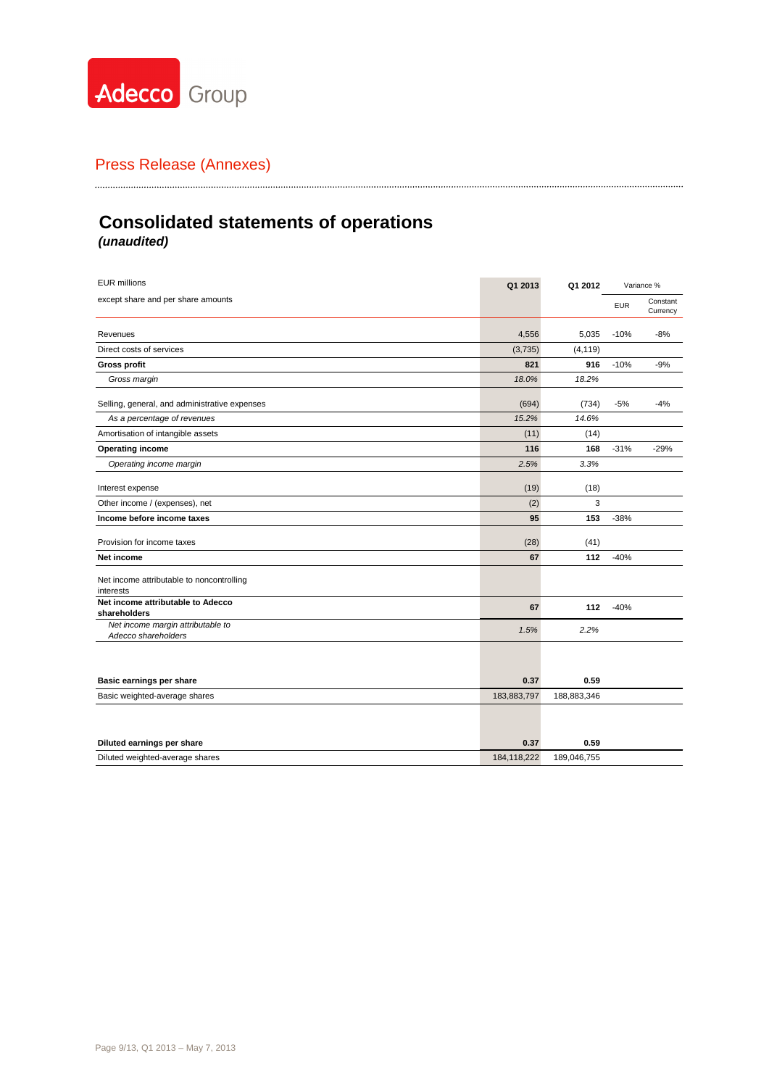

# **Consolidated statements of operations** *(unaudited)*

| <b>EUR millions</b>                                      | Q1 2013     | Q1 2012     |            | Variance %           |
|----------------------------------------------------------|-------------|-------------|------------|----------------------|
| except share and per share amounts                       |             |             | <b>EUR</b> | Constant<br>Currency |
| Revenues                                                 | 4,556       | 5,035       | $-10%$     | $-8%$                |
| Direct costs of services                                 | (3,735)     | (4, 119)    |            |                      |
| <b>Gross profit</b>                                      | 821         | 916         | $-10%$     | $-9%$                |
| Gross margin                                             | 18.0%       | 18.2%       |            |                      |
| Selling, general, and administrative expenses            | (694)       | (734)       | $-5%$      | $-4%$                |
| As a percentage of revenues                              | 15.2%       | 14.6%       |            |                      |
| Amortisation of intangible assets                        | (11)        | (14)        |            |                      |
| <b>Operating income</b>                                  | 116         | 168         | $-31%$     | $-29%$               |
| Operating income margin                                  | 2.5%        | 3.3%        |            |                      |
| Interest expense                                         | (19)        | (18)        |            |                      |
| Other income / (expenses), net                           | (2)         | 3           |            |                      |
| Income before income taxes                               | 95          | 153         | $-38%$     |                      |
| Provision for income taxes                               | (28)        | (41)        |            |                      |
| Net income                                               | 67          | 112         | $-40%$     |                      |
| Net income attributable to noncontrolling<br>interests   |             |             |            |                      |
| Net income attributable to Adecco<br>shareholders        | 67          | 112         | $-40%$     |                      |
| Net income margin attributable to<br>Adecco shareholders | 1.5%        | 2.2%        |            |                      |
|                                                          |             |             |            |                      |
| Basic earnings per share                                 | 0.37        | 0.59        |            |                      |
| Basic weighted-average shares                            | 183,883,797 | 188,883,346 |            |                      |
|                                                          |             |             |            |                      |
| Diluted earnings per share                               | 0.37        | 0.59        |            |                      |
| Diluted weighted-average shares                          | 184,118,222 | 189.046.755 |            |                      |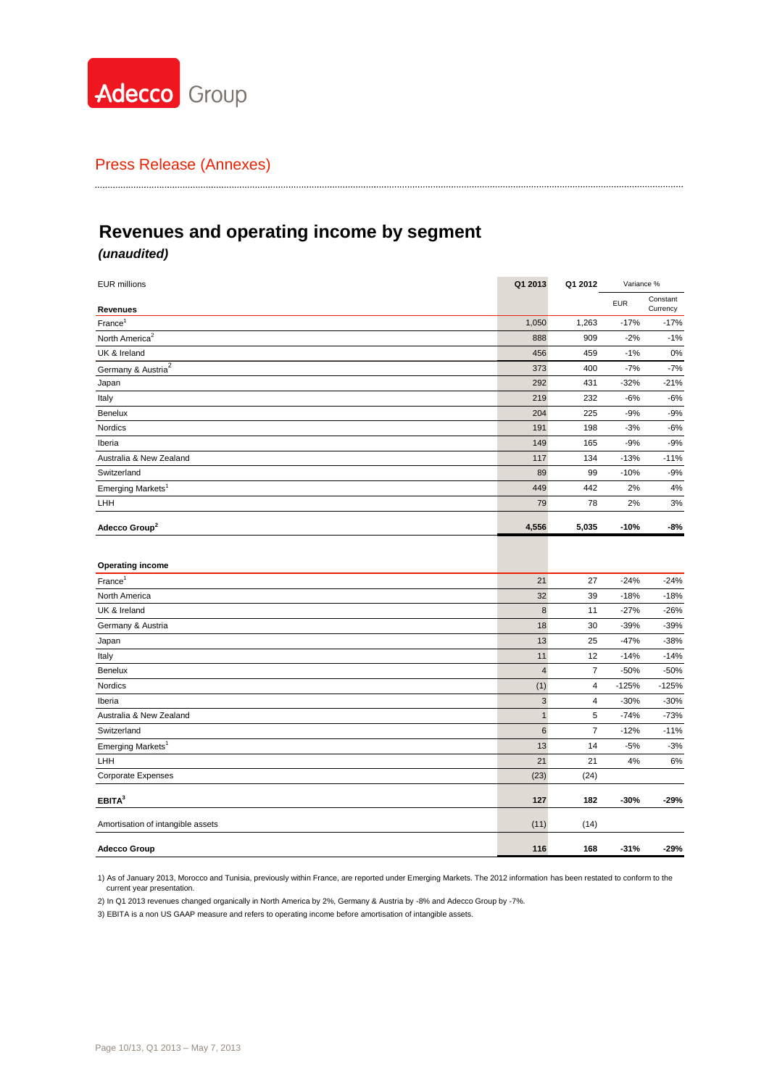

# **Revenues and operating income by segment**

### *(unaudited)*

| <b>EUR millions</b>               | Q1 2013        | Q1 2012        | Variance % |                      |
|-----------------------------------|----------------|----------------|------------|----------------------|
| Revenues                          |                |                | <b>EUR</b> | Constant<br>Currency |
| France <sup>1</sup>               | 1,050          | 1,263          | $-17%$     | $-17%$               |
| North America <sup>2</sup>        | 888            | 909            | $-2%$      | $-1%$                |
| UK & Ireland                      | 456            | 459            | $-1%$      | 0%                   |
| Germany & Austria <sup>2</sup>    | 373            | 400            | $-7%$      | $-7%$                |
| Japan                             | 292            | 431            | $-32%$     | $-21%$               |
| Italy                             | 219            | 232            | $-6%$      | -6%                  |
| Benelux                           | 204            | 225            | $-9%$      | $-9%$                |
| Nordics                           | 191            | 198            | $-3%$      | -6%                  |
| Iberia                            | 149            | 165            | $-9%$      | $-9%$                |
| Australia & New Zealand           | 117            | 134            | $-13%$     | $-11%$               |
| Switzerland                       | 89             | 99             | $-10%$     | $-9%$                |
| Emerging Markets <sup>1</sup>     | 449            | 442            | 2%         | 4%                   |
| LHH                               | 79             | 78             | 2%         | 3%                   |
| Adecco Group <sup>2</sup>         | 4,556          | 5,035          | $-10%$     | -8%                  |
| <b>Operating income</b>           |                |                |            |                      |
| $France^1$                        | 21             | 27             | $-24%$     | $-24%$               |
| North America                     | 32             | 39             | $-18%$     | $-18%$               |
| UK & Ireland                      | 8              | 11             | $-27%$     | $-26%$               |
| Germany & Austria                 | 18             | 30             | $-39%$     | $-39%$               |
| Japan                             | 13             | 25             | $-47%$     | $-38%$               |
| Italy                             | 11             | 12             | $-14%$     | $-14%$               |
| <b>Benelux</b>                    | $\overline{4}$ | $\overline{7}$ | $-50%$     | $-50%$               |
| Nordics                           | (1)            | 4              | $-125%$    | $-125%$              |
| Iberia                            | $\sqrt{3}$     | 4              | $-30%$     | $-30%$               |
| Australia & New Zealand           | $\mathbf{1}$   | 5              | $-74%$     | $-73%$               |
| Switzerland                       | $\,6$          | 7              | $-12%$     | $-11%$               |
| Emerging Markets <sup>1</sup>     | 13             | 14             | $-5%$      | $-3%$                |
| LHH                               | 21             | 21             | 4%         | 6%                   |
| <b>Corporate Expenses</b>         | (23)           | (24)           |            |                      |
| EBITA <sup>3</sup>                | 127            | 182            | $-30%$     | -29%                 |
| Amortisation of intangible assets | (11)           | (14)           |            |                      |
| <b>Adecco Group</b>               | 116            | 168            | $-31%$     | $-29%$               |

1) As of January 2013, Morocco and Tunisia, previously within France, are reported under Emerging Markets. The 2012 information has been restated to conform to the current year presentation.

2) In Q1 2013 revenues changed organically in North America by 2%, Germany & Austria by -8% and Adecco Group by -7%.

3) EBITA is a non US GAAP measure and refers to operating income before amortisation of intangible assets.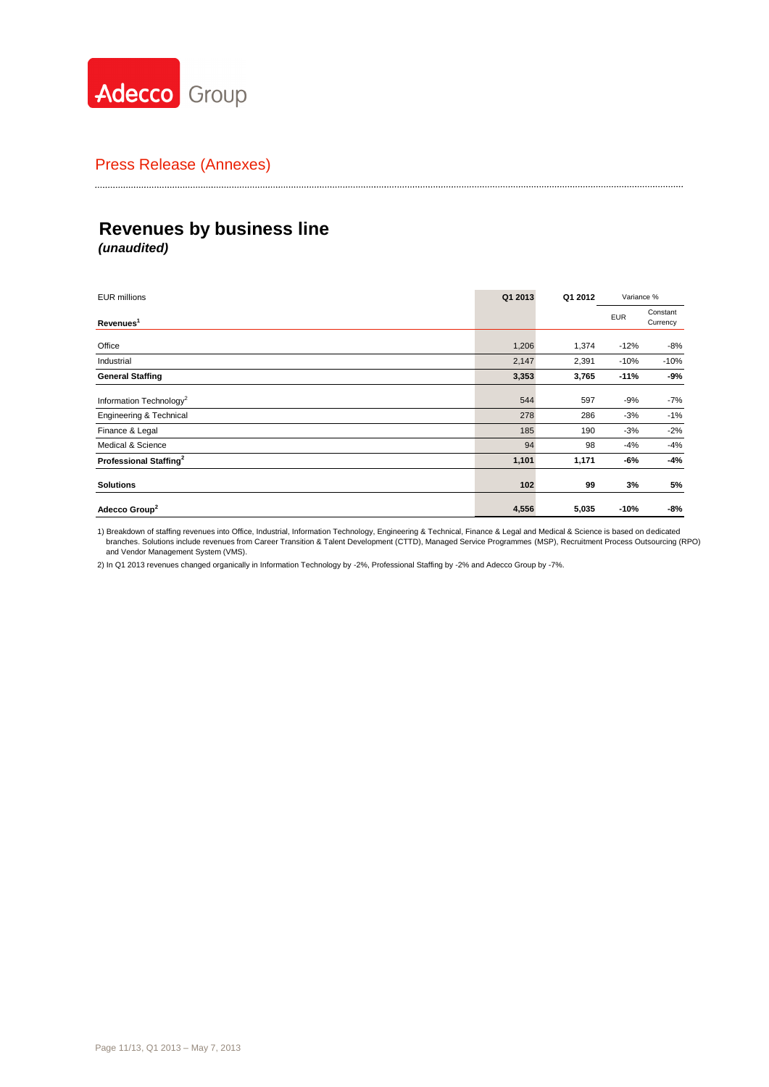

# **Revenues by business line** *(unaudited)*

| <b>EUR millions</b>                 | Q1 2013 | Q1 2012 | Variance % |                      |
|-------------------------------------|---------|---------|------------|----------------------|
| Revenues <sup>1</sup>               |         |         | <b>EUR</b> | Constant<br>Currency |
| Office                              | 1,206   | 1,374   | $-12%$     | $-8%$                |
| Industrial                          | 2,147   | 2,391   | $-10%$     | $-10%$               |
| <b>General Staffing</b>             | 3,353   | 3,765   | $-11%$     | -9%                  |
| Information Technology <sup>2</sup> | 544     | 597     | $-9%$      | $-7%$                |
| Engineering & Technical             | 278     | 286     | $-3%$      | $-1%$                |
| Finance & Legal                     | 185     | 190     | $-3%$      | $-2%$                |
| Medical & Science                   | 94      | 98      | $-4%$      | $-4%$                |
| Professional Staffing <sup>2</sup>  | 1,101   | 1,171   | -6%        | $-4%$                |
| <b>Solutions</b>                    | 102     | 99      | 3%         | 5%                   |
| Adecco Group <sup>2</sup>           | 4,556   | 5,035   | $-10%$     | -8%                  |

1) Breakdown of staffing revenues into Office, Industrial, Information Technology, Engineering & Technical, Finance & Legal and Medical & Science is based on dedicated branches. Solutions include revenues from Career Transition & Talent Development (CTTD), Managed Service Programmes (MSP), Recruitment Process Outsourcing (RPO) and Vendor Management System (VMS).

2) In Q1 2013 revenues changed organically in Information Technology by -2%, Professional Staffing by -2% and Adecco Group by -7%.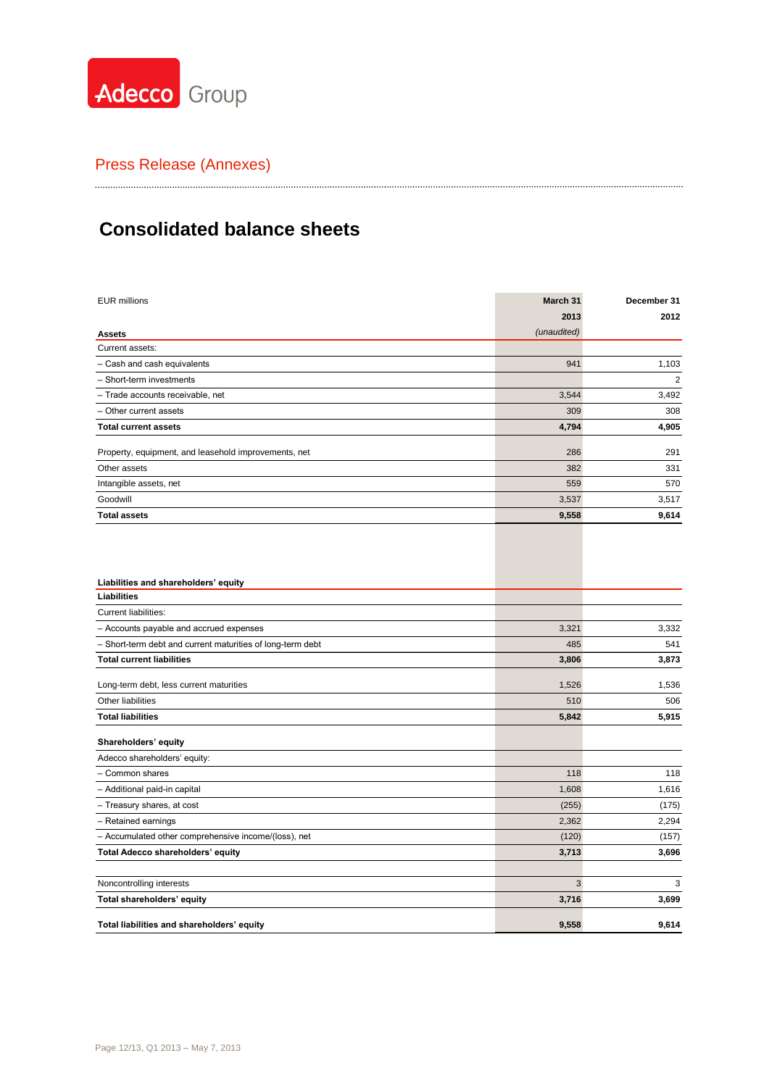

# **Consolidated balance sheets**

| <b>EUR millions</b>                                        | March 31    | December 31 |
|------------------------------------------------------------|-------------|-------------|
|                                                            | 2013        | 2012        |
| <b>Assets</b>                                              | (unaudited) |             |
| Current assets:                                            |             |             |
| - Cash and cash equivalents                                | 941         | 1,103       |
| - Short-term investments                                   |             | 2           |
| - Trade accounts receivable, net                           | 3,544       | 3,492       |
| Other current assets                                       | 309         | 308         |
| <b>Total current assets</b>                                | 4,794       | 4,905       |
| Property, equipment, and leasehold improvements, net       | 286         | 291         |
| Other assets                                               | 382         | 331         |
| Intangible assets, net                                     | 559         | 570         |
| Goodwill                                                   | 3,537       | 3,517       |
| <b>Total assets</b>                                        | 9,558       | 9,614       |
| Liabilities and shareholders' equity<br>Liabilities        |             |             |
|                                                            |             |             |
| <b>Current liabilities:</b>                                |             |             |
| - Accounts payable and accrued expenses                    | 3,321       | 3,332       |
| - Short-term debt and current maturities of long-term debt | 485         | 541         |
| <b>Total current liabilities</b>                           | 3,806       | 3,873       |
| Long-term debt, less current maturities                    | 1,526       | 1,536       |
| Other liabilities                                          | 510         | 506         |
| <b>Total liabilities</b>                                   | 5,842       | 5,915       |
| Shareholders' equity                                       |             |             |
| Adecco shareholders' equity:                               |             |             |
| - Common shares                                            | 118         | 118         |
| - Additional paid-in capital                               | 1,608       | 1,616       |
| - Treasury shares, at cost                                 | (255)       | (175)       |
| - Retained earnings                                        | 2,362       | 2,294       |
| - Accumulated other comprehensive income/(loss), net       | (120)       | (157)       |
| Total Adecco shareholders' equity                          | 3,713       | 3,696       |

Noncontrolling interests 3 3 **Total shareholders' equity** 3,699 **3,699**